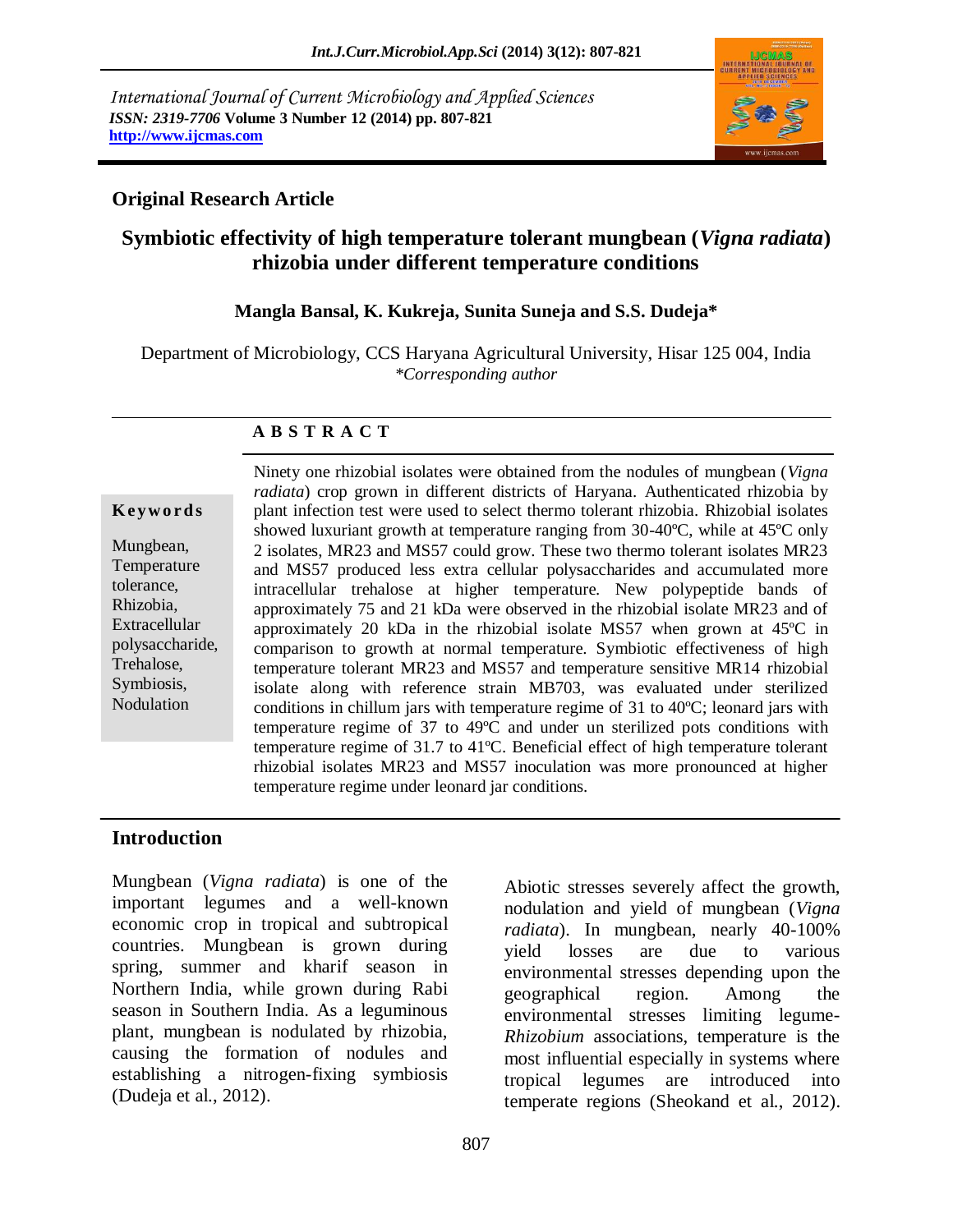*International Journal of Current Microbiology and Applied Sciences ISSN: 2319-7706* **Volume 3 Number 12 (2014) pp. 807-821 http://www.ijcmas.com** 



## **Original Research Article**

# **Symbiotic effectivity of high temperature tolerant mungbean (***Vigna radiata***) rhizobia under different temperature conditions**

#### **Mangla Bansal, K. Kukreja, Sunita Suneja and S.S. Dudeja\***

Department of Microbiology, CCS Haryana Agricultural University, Hisar 125 004, India *\*Corresponding author* 

#### **A B S T R A C T**

#### **K ey w o rd s**

Mungbean, Temperature tolerance, Rhizobia, Extracellular polysaccharide, Trehalose, Symbiosis, Nodulation

Ninety one rhizobial isolates were obtained from the nodules of mungbean (*Vigna radiata*) crop grown in different districts of Haryana. Authenticated rhizobia by plant infection test were used to select thermo tolerant rhizobia. Rhizobial isolates showed luxuriant growth at temperature ranging from 30-40ºC, while at 45ºC only 2 isolates, MR23 and MS57 could grow. These two thermo tolerant isolates MR23 and MS57 produced less extra cellular polysaccharides and accumulated more intracellular trehalose at higher temperature. New polypeptide bands of approximately 75 and 21 kDa were observed in the rhizobial isolate MR23 and of approximately 20 kDa in the rhizobial isolate MS57 when grown at 45ºC in comparison to growth at normal temperature. Symbiotic effectiveness of high temperature tolerant MR23 and MS57 and temperature sensitive MR14 rhizobial isolate along with reference strain MB703, was evaluated under sterilized conditions in chillum jars with temperature regime of 31 to 40ºC; leonard jars with temperature regime of 37 to 49ºC and under un sterilized pots conditions with temperature regime of 31.7 to 41ºC. Beneficial effect of high temperature tolerant rhizobial isolates MR23 and MS57 inoculation was more pronounced at higher temperature regime under leonard jar conditions.

#### **Introduction**

Mungbean (*Vigna radiata*) is one of the important legumes and a well-known economic crop in tropical and subtropical countries. Mungbean is grown during spring, summer and kharif season in Northern India, while grown during Rabi season in Southern India. As a leguminous plant, mungbean is nodulated by rhizobia, causing the formation of nodules and establishing a nitrogen-fixing symbiosis (Dudeja et al., 2012).

Abiotic stresses severely affect the growth, nodulation and yield of mungbean (*Vigna radiata*). In mungbean, nearly 40-100% yield losses are due to various environmental stresses depending upon the geographical region. Among the environmental stresses limiting legume-*Rhizobium* associations, temperature is the most influential especially in systems where tropical legumes are introduced into temperate regions (Sheokand et al., 2012).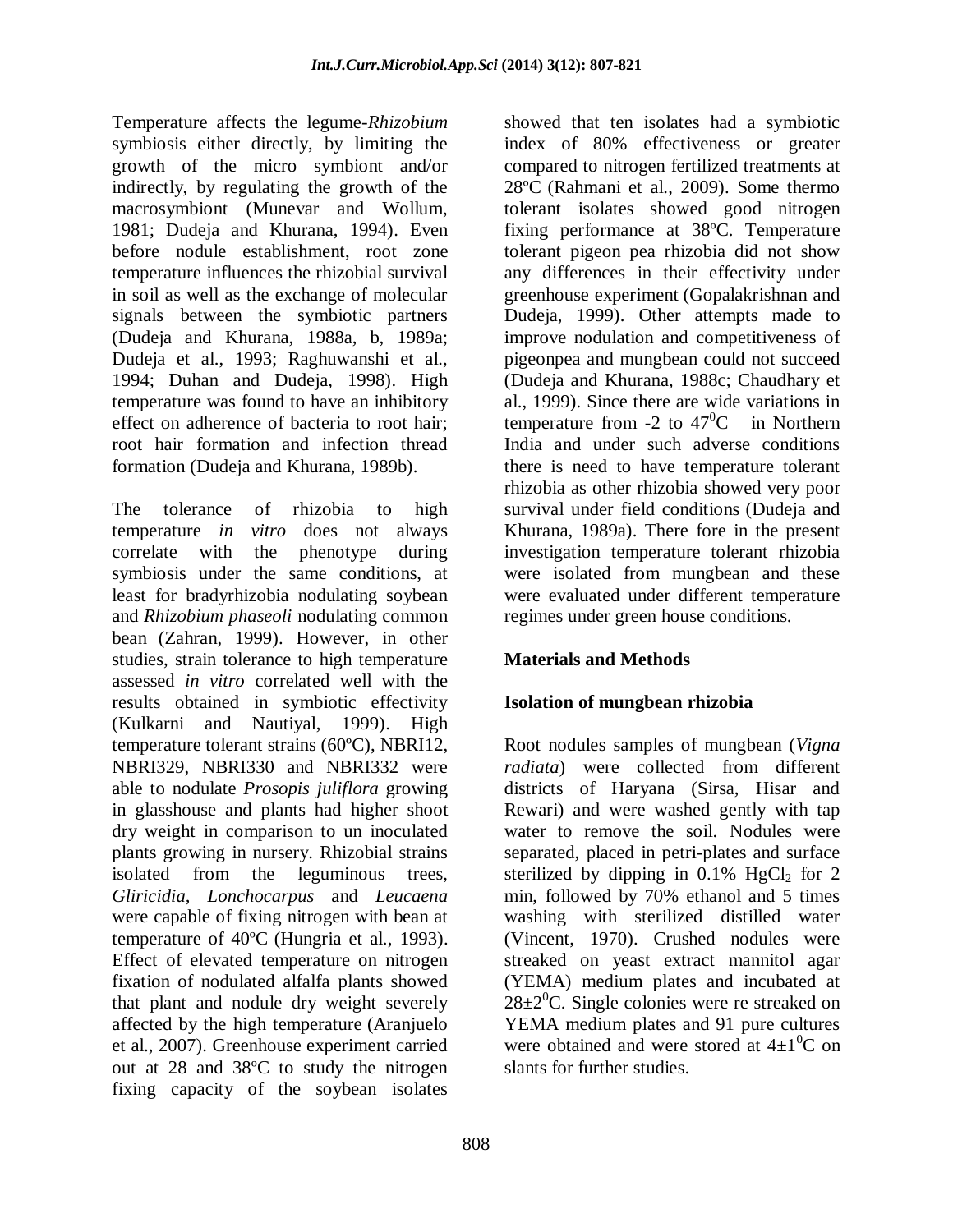Temperature affects the legume-*Rhizobium*  symbiosis either directly, by limiting the growth of the micro symbiont and/or indirectly, by regulating the growth of the macrosymbiont (Munevar and Wollum, 1981; Dudeja and Khurana, 1994). Even before nodule establishment, root zone temperature influences the rhizobial survival in soil as well as the exchange of molecular signals between the symbiotic partners (Dudeja and Khurana, 1988a, b, 1989a; Dudeja et al., 1993; Raghuwanshi et al., 1994; Duhan and Dudeja, 1998). High temperature was found to have an inhibitory effect on adherence of bacteria to root hair; root hair formation and infection thread formation (Dudeja and Khurana, 1989b).

The tolerance of rhizobia to high temperature *in vitro* does not always correlate with the phenotype during symbiosis under the same conditions, at least for bradyrhizobia nodulating soybean and *Rhizobium phaseoli* nodulating common bean (Zahran, 1999). However, in other studies, strain tolerance to high temperature assessed *in vitro* correlated well with the results obtained in symbiotic effectivity (Kulkarni and Nautiyal, 1999). High temperature tolerant strains (60ºC), NBRI12, NBRI329, NBRI330 and NBRI332 were able to nodulate *Prosopis juliflora* growing in glasshouse and plants had higher shoot dry weight in comparison to un inoculated plants growing in nursery. Rhizobial strains isolated from the leguminous trees, *Gliricidia, Lonchocarpus* and *Leucaena* were capable of fixing nitrogen with bean at temperature of 40ºC (Hungria et al., 1993). Effect of elevated temperature on nitrogen fixation of nodulated alfalfa plants showed that plant and nodule dry weight severely affected by the high temperature (Aranjuelo et al., 2007). Greenhouse experiment carried out at 28 and 38ºC to study the nitrogen fixing capacity of the soybean isolates

showed that ten isolates had a symbiotic index of 80% effectiveness or greater compared to nitrogen fertilized treatments at 28ºC (Rahmani et al., 2009). Some thermo tolerant isolates showed good nitrogen fixing performance at 38ºC. Temperature tolerant pigeon pea rhizobia did not show any differences in their effectivity under greenhouse experiment (Gopalakrishnan and Dudeja, 1999). Other attempts made to improve nodulation and competitiveness of pigeonpea and mungbean could not succeed (Dudeja and Khurana, 1988c; Chaudhary et al., 1999). Since there are wide variations in temperature from -2 to  $47^{\circ}$ C in Northern India and under such adverse conditions there is need to have temperature tolerant rhizobia as other rhizobia showed very poor survival under field conditions (Dudeja and Khurana, 1989a). There fore in the present investigation temperature tolerant rhizobia were isolated from mungbean and these were evaluated under different temperature regimes under green house conditions.

# **Materials and Methods**

# **Isolation of mungbean rhizobia**

Root nodules samples of mungbean (*Vigna radiata*) were collected from different districts of Haryana (Sirsa, Hisar and Rewari) and were washed gently with tap water to remove the soil. Nodules were separated, placed in petri-plates and surface sterilized by dipping in  $0.1\%$  HgCl<sub>2</sub> for 2 min, followed by 70% ethanol and 5 times washing with sterilized distilled water (Vincent, 1970). Crushed nodules were streaked on yeast extract mannitol agar (YEMA) medium plates and incubated at  $28\pm2\degree$ C. Single colonies were re streaked on YEMA medium plates and 91 pure cultures were obtained and were stored at  $4\pm1\textsuperscript{0}C$  on slants for further studies.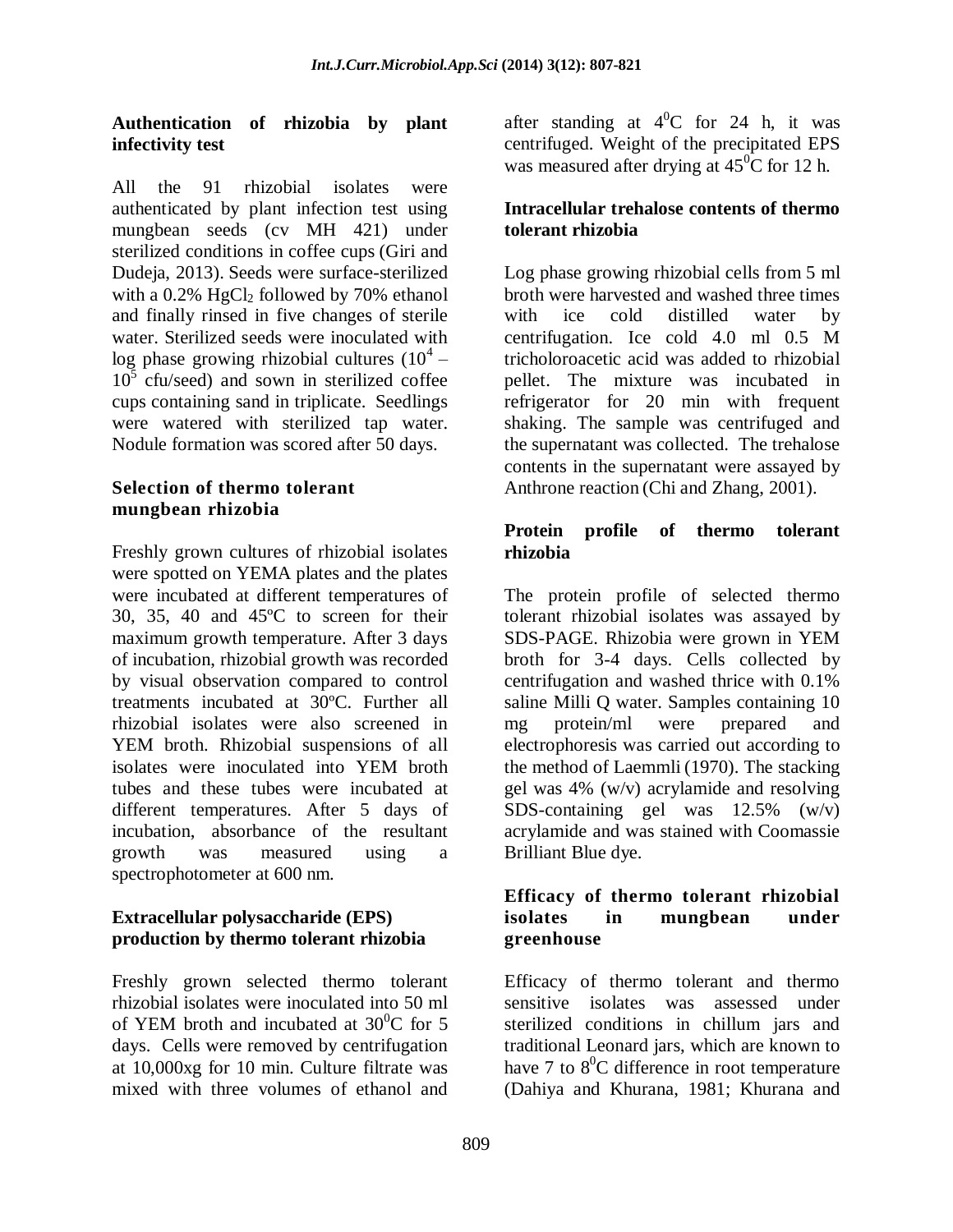## **Authentication of rhizobia by plant infectivity test**

All the 91 rhizobial isolates were authenticated by plant infection test using mungbean seeds (cv MH 421) under sterilized conditions in coffee cups (Giri and Dudeja, 2013). Seeds were surface-sterilized with a  $0.2\%$  HgCl<sub>2</sub> followed by 70% ethanol and finally rinsed in five changes of sterile water. Sterilized seeds were inoculated with log phase growing rhizobial cultures  $(10^4 10^5$  cfu/seed) and sown in sterilized coffee cups containing sand in triplicate. Seedlings were watered with sterilized tap water. Nodule formation was scored after 50 days.

## **Selection of thermo tolerant mungbean rhizobia**

Freshly grown cultures of rhizobial isolates were spotted on YEMA plates and the plates were incubated at different temperatures of 30, 35, 40 and 45ºC to screen for their maximum growth temperature. After 3 days of incubation, rhizobial growth was recorded by visual observation compared to control treatments incubated at 30ºC. Further all rhizobial isolates were also screened in YEM broth. Rhizobial suspensions of all isolates were inoculated into YEM broth tubes and these tubes were incubated at different temperatures. After 5 days of incubation, absorbance of the resultant growth was measured using a spectrophotometer at 600 nm.

## **Extracellular polysaccharide (EPS) production by thermo tolerant rhizobia**

Freshly grown selected thermo tolerant rhizobial isolates were inoculated into 50 ml of YEM broth and incubated at  $30^0C$  for 5 days. Cells were removed by centrifugation at 10,000xg for 10 min. Culture filtrate was mixed with three volumes of ethanol and

after standing at  $4^{\circ}$ C for 24 h, it was centrifuged. Weight of the precipitated EPS was measured after drying at  $45^{\circ}$ C for 12 h.

## **Intracellular trehalose contents of thermo tolerant rhizobia**

Log phase growing rhizobial cells from 5 ml broth were harvested and washed three times with ice cold distilled water by centrifugation. Ice cold 4.0 ml 0.5 M tricholoroacetic acid was added to rhizobial pellet. The mixture was incubated in refrigerator for 20 min with frequent shaking. The sample was centrifuged and the supernatant was collected. The trehalose contents in the supernatant were assayed by Anthrone reaction (Chi and Zhang, 2001).

## **Protein profile of thermo tolerant rhizobia**

The protein profile of selected thermo tolerant rhizobial isolates was assayed by SDS-PAGE. Rhizobia were grown in YEM broth for 3-4 days. Cells collected by centrifugation and washed thrice with 0.1% saline Milli Q water. Samples containing 10 mg protein/ml were prepared and electrophoresis was carried out according to the method of Laemmli (1970). The stacking gel was 4% (w/v) acrylamide and resolving SDS-containing gel was 12.5% (w/v) acrylamide and was stained with Coomassie Brilliant Blue dye.

#### **Efficacy of thermo tolerant rhizobial isolates in mungbean under greenhouse**

Efficacy of thermo tolerant and thermo sensitive isolates was assessed under sterilized conditions in chillum jars and traditional Leonard jars, which are known to have 7 to  $8^0C$  difference in root temperature (Dahiya and Khurana, 1981; Khurana and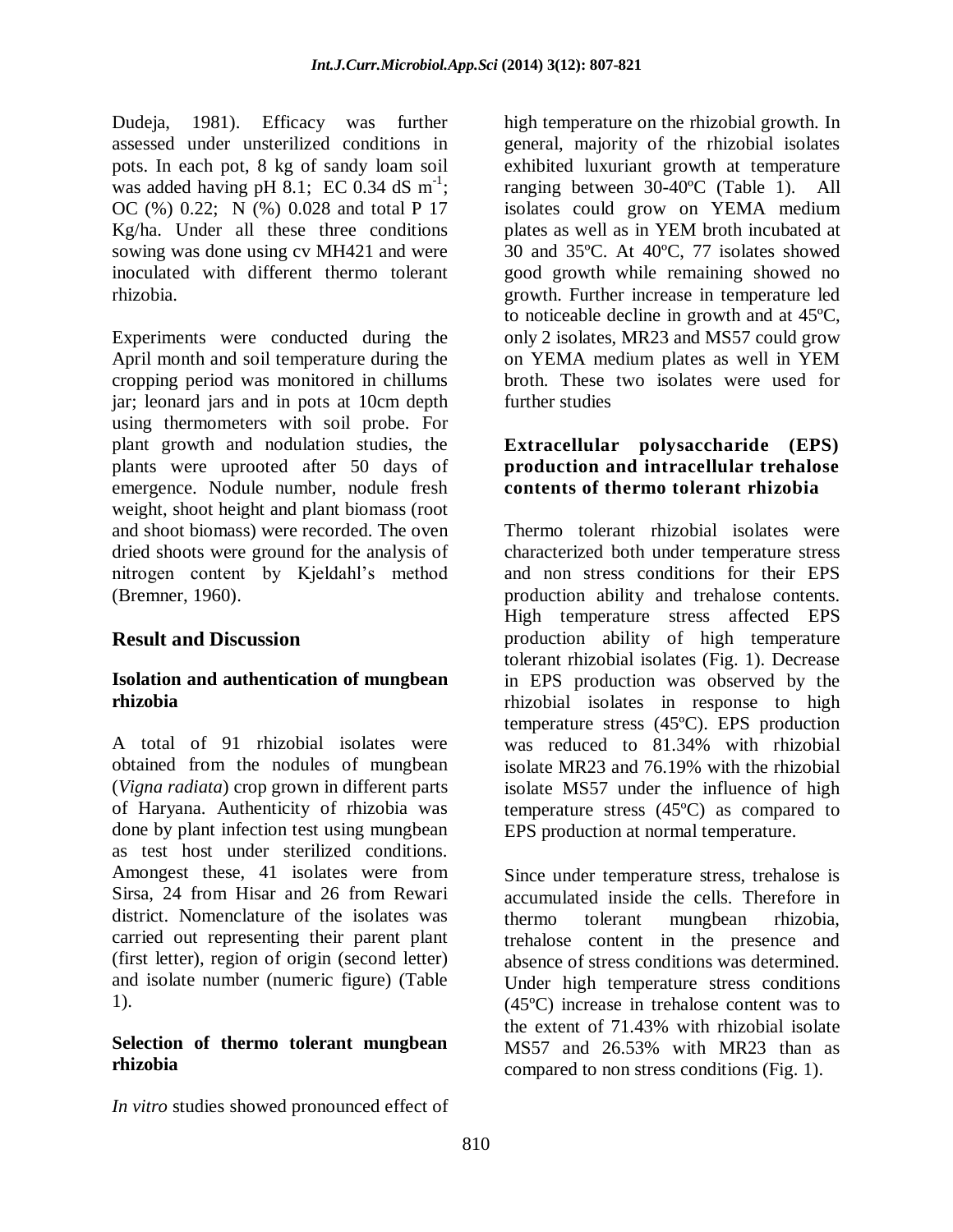Dudeja, 1981). Efficacy was further assessed under unsterilized conditions in pots. In each pot, 8 kg of sandy loam soil was added having pH 8.1; EC 0.34 dS  $m^{-1}$ ; OC (%) 0.22; N (%) 0.028 and total P 17 Kg/ha. Under all these three conditions sowing was done using cv MH421 and were inoculated with different thermo tolerant rhizobia.

Experiments were conducted during the April month and soil temperature during the cropping period was monitored in chillums jar; leonard jars and in pots at 10cm depth using thermometers with soil probe. For plant growth and nodulation studies, the plants were uprooted after 50 days of emergence. Nodule number, nodule fresh weight, shoot height and plant biomass (root and shoot biomass) were recorded. The oven dried shoots were ground for the analysis of nitrogen content by Kjeldahl's method (Bremner, 1960).

# **Result and Discussion**

#### **Isolation and authentication of mungbean rhizobia**

A total of 91 rhizobial isolates were obtained from the nodules of mungbean (*Vigna radiata*) crop grown in different parts of Haryana. Authenticity of rhizobia was done by plant infection test using mungbean as test host under sterilized conditions. Amongest these, 41 isolates were from Sirsa, 24 from Hisar and 26 from Rewari district. Nomenclature of the isolates was carried out representing their parent plant (first letter), region of origin (second letter) and isolate number (numeric figure) (Table 1).

#### **Selection of thermo tolerant mungbean rhizobia**

high temperature on the rhizobial growth. In general, majority of the rhizobial isolates exhibited luxuriant growth at temperature ranging between 30-40ºC (Table 1). All isolates could grow on YEMA medium plates as well as in YEM broth incubated at 30 and 35ºC. At 40ºC, 77 isolates showed good growth while remaining showed no growth. Further increase in temperature led to noticeable decline in growth and at 45ºC, only 2 isolates, MR23 and MS57 could grow on YEMA medium plates as well in YEM broth. These two isolates were used for further studies

#### **Extracellular polysaccharide (EPS) production and intracellular trehalose contents of thermo tolerant rhizobia**

Thermo tolerant rhizobial isolates were characterized both under temperature stress and non stress conditions for their EPS production ability and trehalose contents. High temperature stress affected EPS production ability of high temperature tolerant rhizobial isolates (Fig. 1). Decrease in EPS production was observed by the rhizobial isolates in response to high temperature stress (45ºC). EPS production was reduced to 81.34% with rhizobial isolate MR23 and 76.19% with the rhizobial isolate MS57 under the influence of high temperature stress (45ºC) as compared to EPS production at normal temperature.

Since under temperature stress, trehalose is accumulated inside the cells. Therefore in thermo tolerant mungbean rhizobia, trehalose content in the presence and absence of stress conditions was determined. Under high temperature stress conditions (45ºC) increase in trehalose content was to the extent of 71.43% with rhizobial isolate MS57 and 26.53% with MR23 than as compared to non stress conditions (Fig. 1).

*In vitro* studies showed pronounced effect of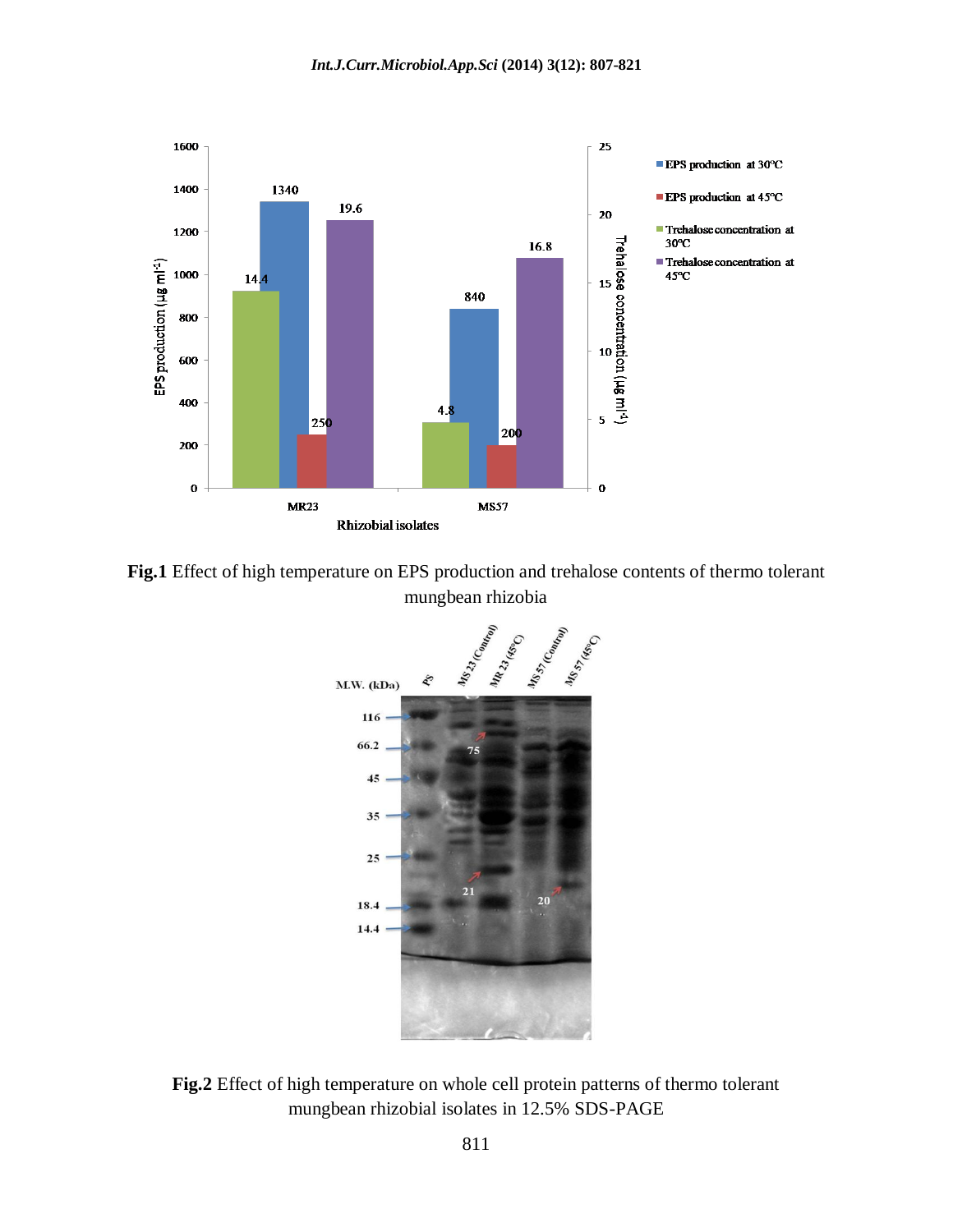

**Fig.1** Effect of high temperature on EPS production and trehalose contents of thermo tolerant mungbean rhizobia



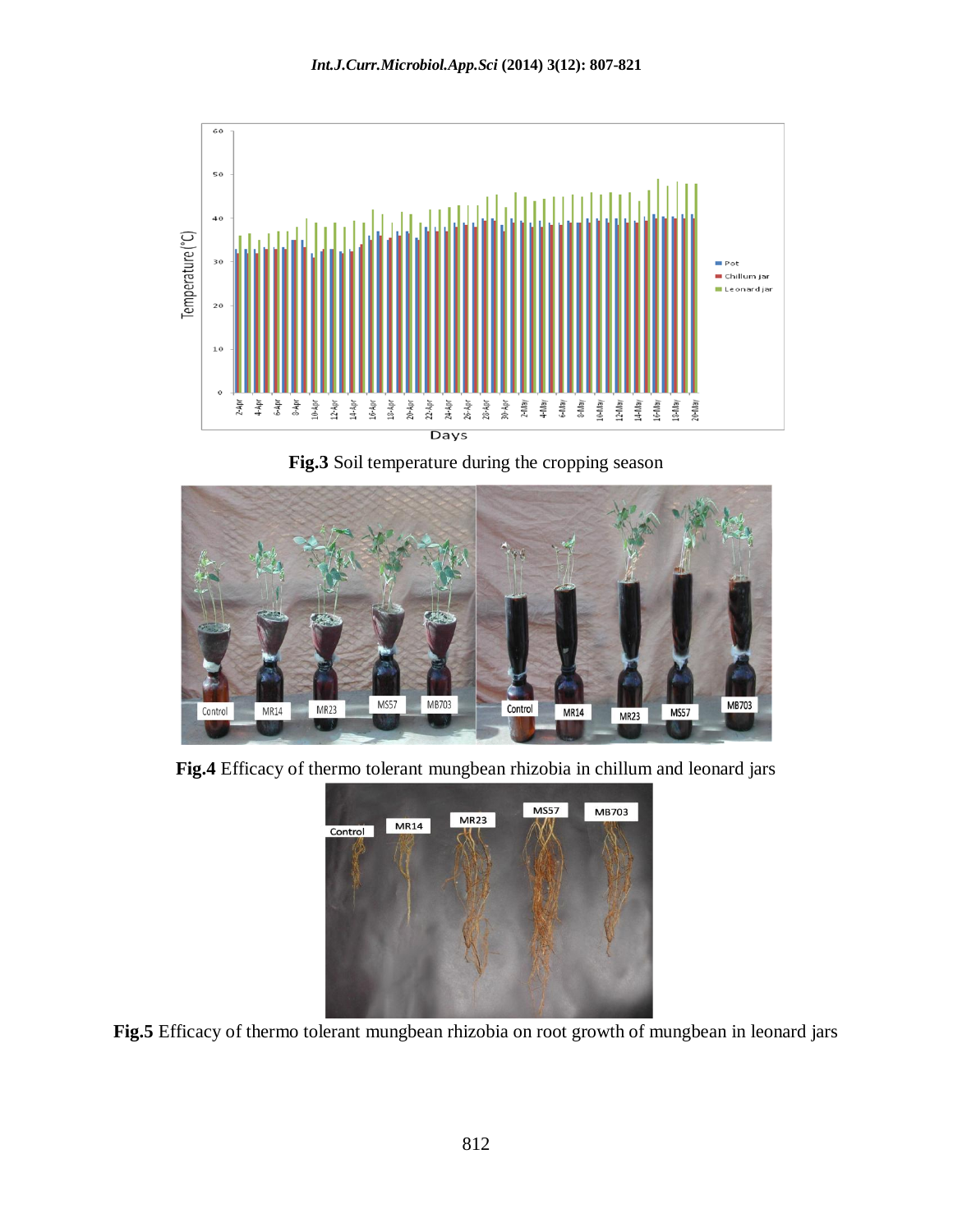

**Fig.3** Soil temperature during the cropping season



**Fig.4** Efficacy of thermo tolerant mungbean rhizobia in chillum and leonard jars



**Fig.5** Efficacy of thermo tolerant mungbean rhizobia on root growth of mungbean in leonard jars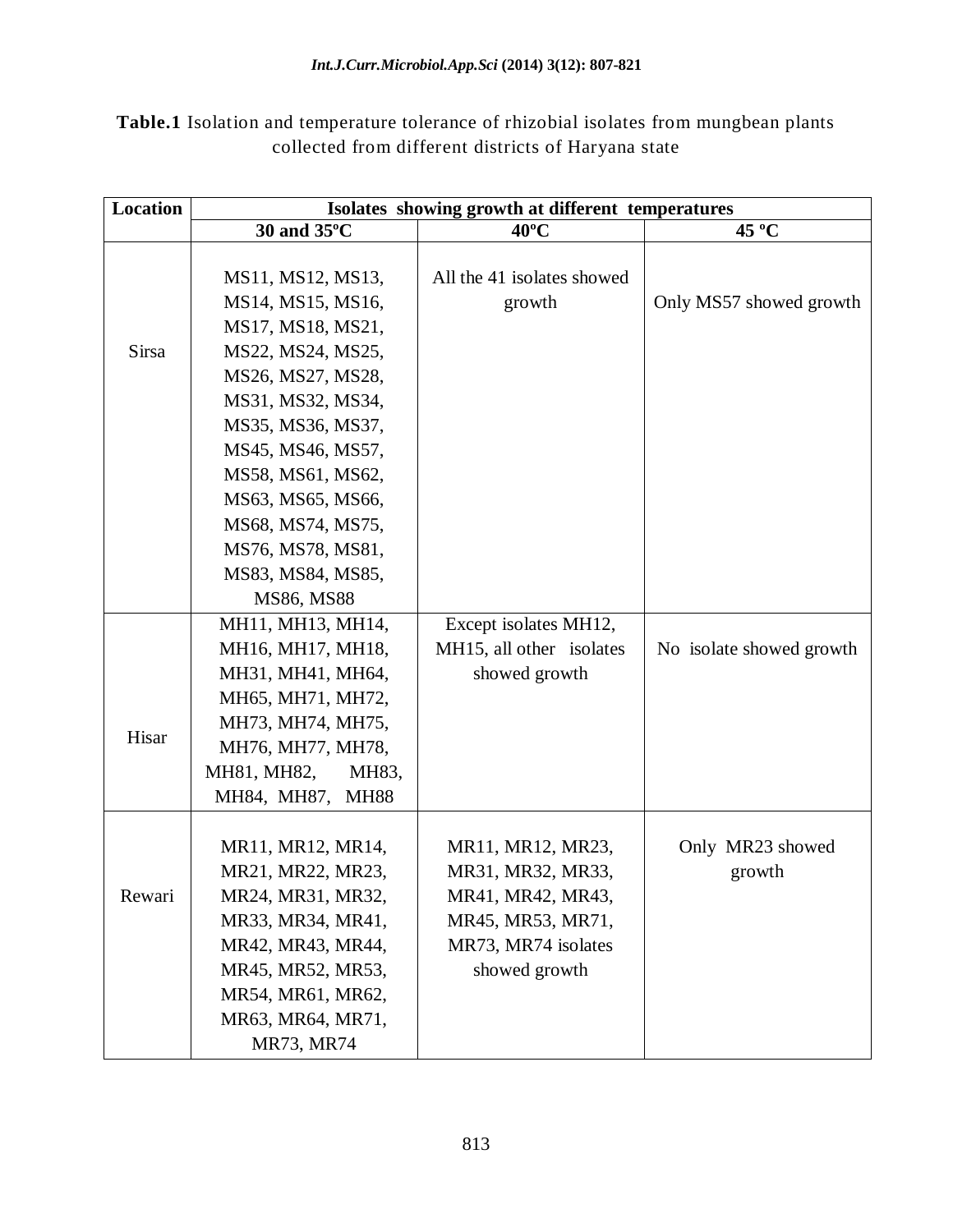**Table.1** Isolation and temperature tolerance of rhizobial isolates from mungbean plants collected from different districts of Haryana state

| <b>Location</b> | Isolates showing growth at different temperatures |                            |                          |  |  |  |  |
|-----------------|---------------------------------------------------|----------------------------|--------------------------|--|--|--|--|
|                 | 30 and 35°C                                       | $40^{\circ}$ C             | 45 °C                    |  |  |  |  |
|                 |                                                   |                            |                          |  |  |  |  |
|                 | MS11, MS12, MS13,                                 | All the 41 isolates showed |                          |  |  |  |  |
|                 | MS14, MS15, MS16,                                 | growth                     | Only MS57 showed growth  |  |  |  |  |
|                 | MS17, MS18, MS21,                                 |                            |                          |  |  |  |  |
| Sirsa           | MS22, MS24, MS25,                                 |                            |                          |  |  |  |  |
|                 | MS26, MS27, MS28,                                 |                            |                          |  |  |  |  |
|                 | MS31, MS32, MS34,                                 |                            |                          |  |  |  |  |
|                 | MS35, MS36, MS37,                                 |                            |                          |  |  |  |  |
|                 | MS45, MS46, MS57,                                 |                            |                          |  |  |  |  |
|                 | MS58, MS61, MS62,                                 |                            |                          |  |  |  |  |
|                 | MS63, MS65, MS66,                                 |                            |                          |  |  |  |  |
|                 | MS68, MS74, MS75,                                 |                            |                          |  |  |  |  |
|                 | MS76, MS78, MS81,                                 |                            |                          |  |  |  |  |
|                 | MS83, MS84, MS85,                                 |                            |                          |  |  |  |  |
|                 | MS86, MS88                                        |                            |                          |  |  |  |  |
|                 | MH11, MH13, MH14,                                 | Except isolates MH12,      |                          |  |  |  |  |
|                 | MH16, MH17, MH18,                                 | MH15, all other isolates   | No isolate showed growth |  |  |  |  |
|                 | MH31, MH41, MH64,                                 | showed growth              |                          |  |  |  |  |
|                 | MH65, MH71, MH72,                                 |                            |                          |  |  |  |  |
|                 | MH73, MH74, MH75,                                 |                            |                          |  |  |  |  |
| Hisar           | MH76, MH77, MH78,                                 |                            |                          |  |  |  |  |
|                 | MH81, MH82,<br>MH83,                              |                            |                          |  |  |  |  |
|                 | MH84, MH87,<br><b>MH88</b>                        |                            |                          |  |  |  |  |
|                 |                                                   |                            |                          |  |  |  |  |
| Rewari          | MR11, MR12, MR14,                                 | MR11, MR12, MR23,          | Only MR23 showed         |  |  |  |  |
|                 | MR21, MR22, MR23,                                 | MR31, MR32, MR33,          | growth                   |  |  |  |  |
|                 | MR24, MR31, MR32,                                 | MR41, MR42, MR43,          |                          |  |  |  |  |
|                 | MR33, MR34, MR41,                                 | MR45, MR53, MR71,          |                          |  |  |  |  |
|                 | MR42, MR43, MR44,                                 | MR73, MR74 isolates        |                          |  |  |  |  |
|                 | MR45, MR52, MR53,                                 | showed growth              |                          |  |  |  |  |
|                 | MR54, MR61, MR62,                                 |                            |                          |  |  |  |  |
|                 | MR63, MR64, MR71,                                 |                            |                          |  |  |  |  |
|                 | MR73, MR74                                        |                            |                          |  |  |  |  |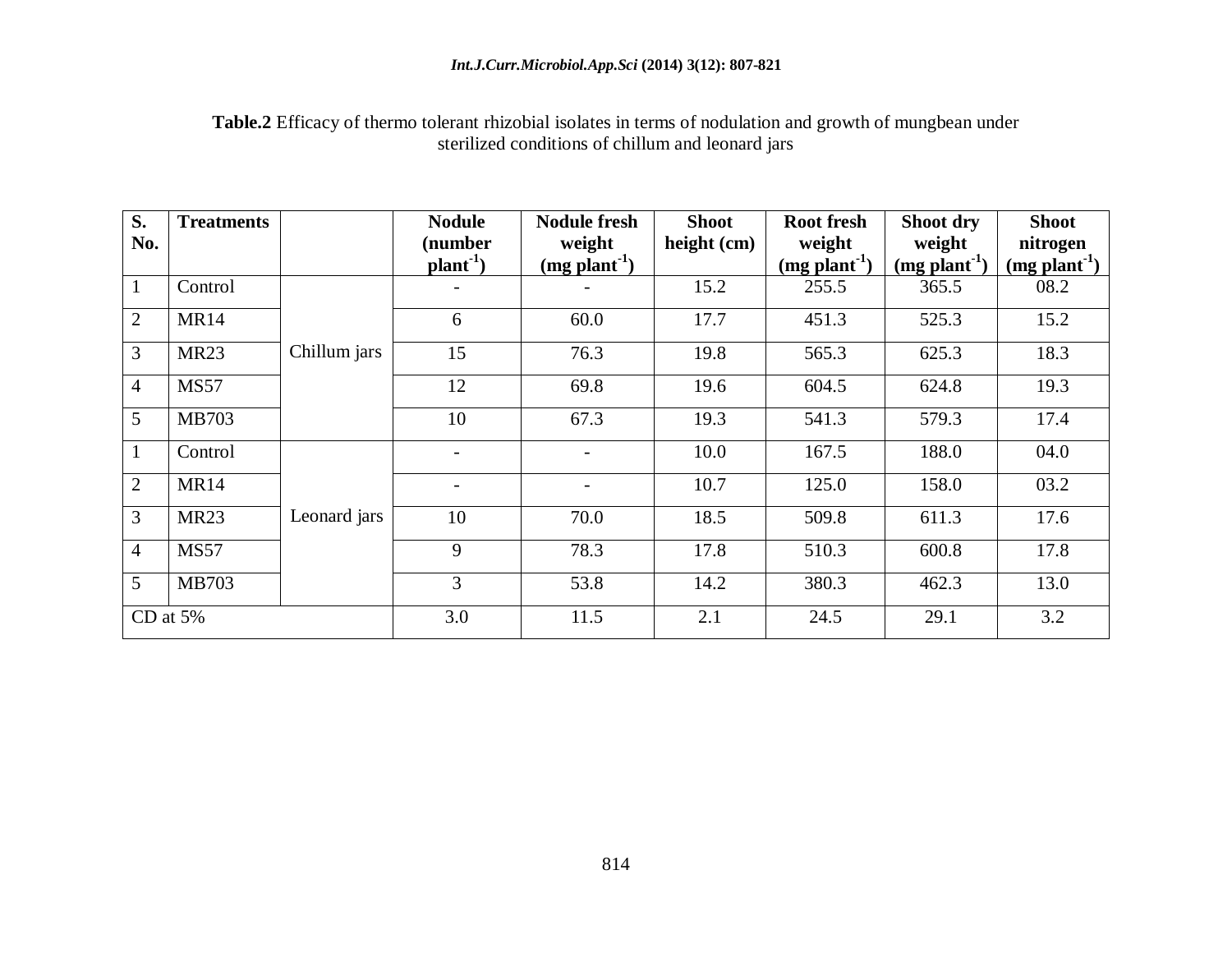#### *Int.J.Curr.Microbiol.App.Sci* **(2014) 3(12): 807-821**

**Table.2** Efficacy of thermo tolerant rhizobial isolates in terms of nodulation and growth of mungbean under sterilized conditions of chillum and leonard jars

| S.             | <b>Treatments</b> |              | <b>Nodule</b>            | <b>Nodule fresh</b>      | <b>Shoot</b> | <b>Root fresh</b>        | Shoot dry                | <b>Shoot</b>               |
|----------------|-------------------|--------------|--------------------------|--------------------------|--------------|--------------------------|--------------------------|----------------------------|
| No.            |                   |              | (number<br>$plan-1$ )    | weight<br>$(mg plant-1)$ | height (cm)  | weight<br>$(mg plant-1)$ | weight<br>$(mg plant-1)$ | nitrogen<br>$(mg plant-1)$ |
| $\mathbf{1}$   | Control           | Chillum jars |                          |                          | 15.2         | 255.5                    | 365.5                    | 08.2                       |
| $\overline{2}$ | <b>MR14</b>       |              | 6                        | 60.0                     | 17.7         | 451.3                    | 525.3                    | 15.2                       |
| 3              | <b>MR23</b>       |              | 15                       | 76.3                     | 19.8         | 565.3                    | 625.3                    | 18.3                       |
| $\overline{4}$ | <b>MS57</b>       |              | 12                       | 69.8                     | 19.6         | 604.5                    | 624.8                    | 19.3                       |
| 5              | MB703             |              | 10                       | 67.3                     | 19.3         | 541.3                    | 579.3                    | 17.4                       |
| $\mathbf{1}$   | Control           | Leonard jars | $\overline{\phantom{0}}$ | $\overline{\phantom{0}}$ | 10.0         | 167.5                    | 188.0                    | 04.0                       |
| $\overline{2}$ | <b>MR14</b>       |              | $\overline{\phantom{a}}$ |                          | 10.7         | 125.0                    | 158.0                    | 03.2                       |
| 3              | <b>MR23</b>       |              | 10                       | 70.0                     | 18.5         | 509.8                    | 611.3                    | 17.6                       |
| $\overline{4}$ | <b>MS57</b>       |              | 9                        | 78.3                     | 17.8         | 510.3                    | 600.8                    | 17.8                       |
| 5              | <b>MB703</b>      |              | 3                        | 53.8                     | 14.2         | 380.3                    | 462.3                    | 13.0                       |
|                | CD at $5%$        |              | 3.0                      | 11.5                     | 2.1          | 24.5                     | 29.1                     | 3.2                        |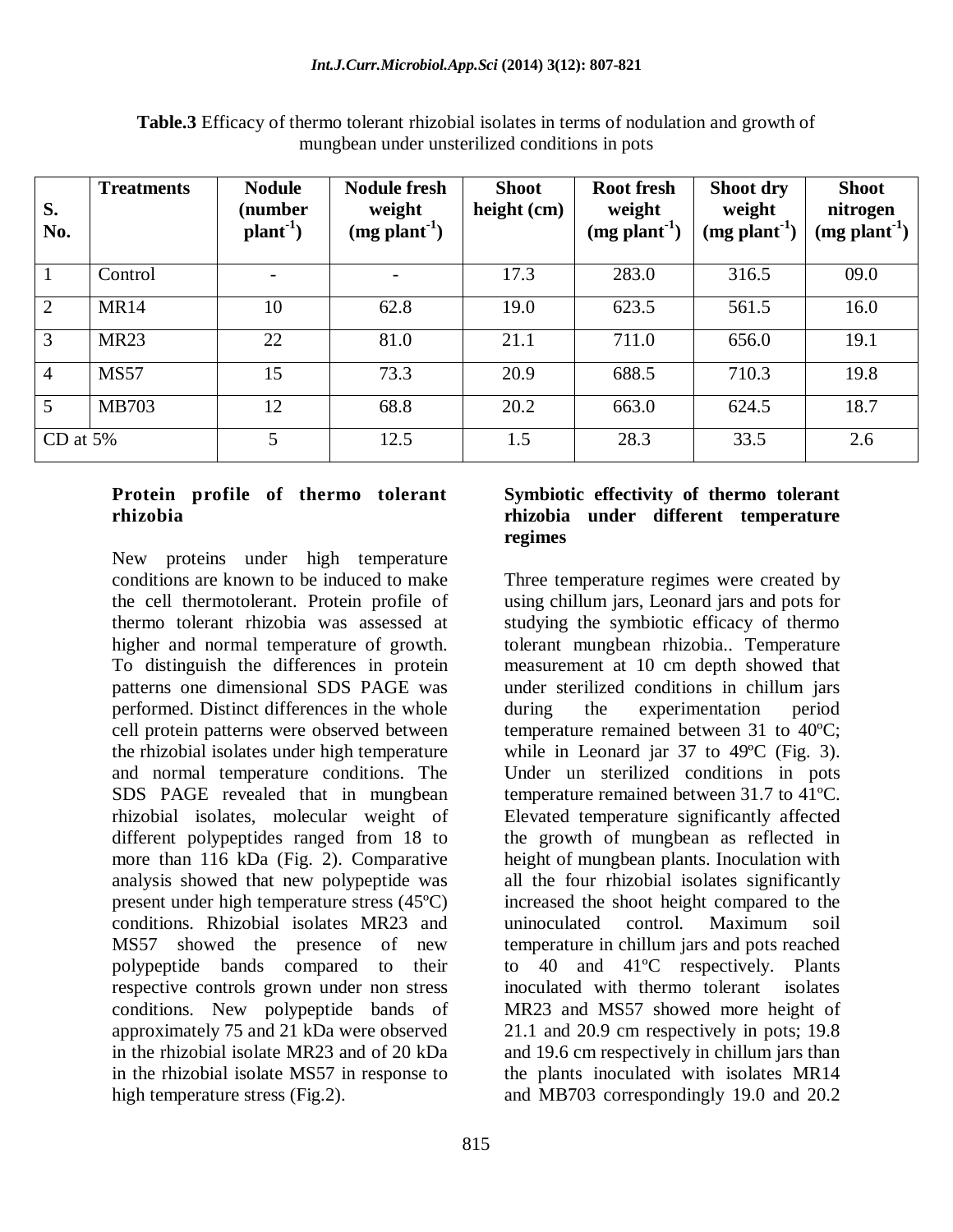| S.<br>No.      | <b>Treatments</b> | <b>Nodule</b><br>(number<br>$plan-1$ ) | <b>Nodule fresh</b><br>weight<br>$(mg plant-1)$ | <b>Shoot</b><br>height $(cm)$ | <b>Root fresh</b><br>weight<br>$(mg plant-1)$ | Shoot dry<br>weight<br>$(mg plant-1)$ | <b>Shoot</b><br>nitrogen<br>$(mg$ plant <sup>-1</sup> ) |
|----------------|-------------------|----------------------------------------|-------------------------------------------------|-------------------------------|-----------------------------------------------|---------------------------------------|---------------------------------------------------------|
|                | Control           |                                        | $\overline{\phantom{0}}$                        | 17.3                          | 283.0                                         | 316.5                                 | 09.0                                                    |
| 2              | <b>MR14</b>       | 10                                     | 62.8                                            | 19.0                          | 623.5                                         | 561.5                                 | 16.0                                                    |
| $\overline{3}$ | <b>MR23</b>       | 22                                     | 81.0                                            | 21.1                          | 711.0                                         | 656.0                                 | 19.1                                                    |
| $\overline{4}$ | <b>MS57</b>       | 15                                     | 73.3                                            | 20.9                          | 688.5                                         | 710.3                                 | 19.8                                                    |
| $\overline{5}$ | <b>MB703</b>      | 12                                     | 68.8                                            | 20.2                          | 663.0                                         | 624.5                                 | 18.7                                                    |
| CD at $5%$     |                   | 5                                      | 12.5                                            | 1.5                           | 28.3                                          | 33.5                                  | 2.6                                                     |

**Table.3** Efficacy of thermo tolerant rhizobial isolates in terms of nodulation and growth of mungbean under unsterilized conditions in pots

#### **Protein profile of thermo tolerant rhizobia**

New proteins under high temperature conditions are known to be induced to make the cell thermotolerant. Protein profile of thermo tolerant rhizobia was assessed at higher and normal temperature of growth. To distinguish the differences in protein patterns one dimensional SDS PAGE was performed. Distinct differences in the whole cell protein patterns were observed between the rhizobial isolates under high temperature and normal temperature conditions. The SDS PAGE revealed that in mungbean rhizobial isolates, molecular weight of different polypeptides ranged from 18 to more than 116 kDa (Fig. 2). Comparative analysis showed that new polypeptide was present under high temperature stress (45ºC) conditions. Rhizobial isolates MR23 and MS57 showed the presence of new polypeptide bands compared to their respective controls grown under non stress conditions. New polypeptide bands of approximately 75 and 21 kDa were observed in the rhizobial isolate MR23 and of 20 kDa in the rhizobial isolate MS57 in response to high temperature stress (Fig.2).

#### **Symbiotic effectivity of thermo tolerant rhizobia under different temperature regimes**

Three temperature regimes were created by using chillum jars, Leonard jars and pots for studying the symbiotic efficacy of thermo tolerant mungbean rhizobia.. Temperature measurement at 10 cm depth showed that under sterilized conditions in chillum jars during the experimentation period temperature remained between 31 to 40ºC; while in Leonard jar 37 to 49ºC (Fig. 3). Under un sterilized conditions in pots temperature remained between 31.7 to 41ºC. Elevated temperature significantly affected the growth of mungbean as reflected in height of mungbean plants. Inoculation with all the four rhizobial isolates significantly increased the shoot height compared to the uninoculated control. Maximum soil temperature in chillum jars and pots reached to 40 and 41ºC respectively. Plants inoculated with thermo tolerant isolates MR23 and MS57 showed more height of 21.1 and 20.9 cm respectively in pots; 19.8 and 19.6 cm respectively in chillum jars than the plants inoculated with isolates MR14 and MB703 correspondingly 19.0 and 20.2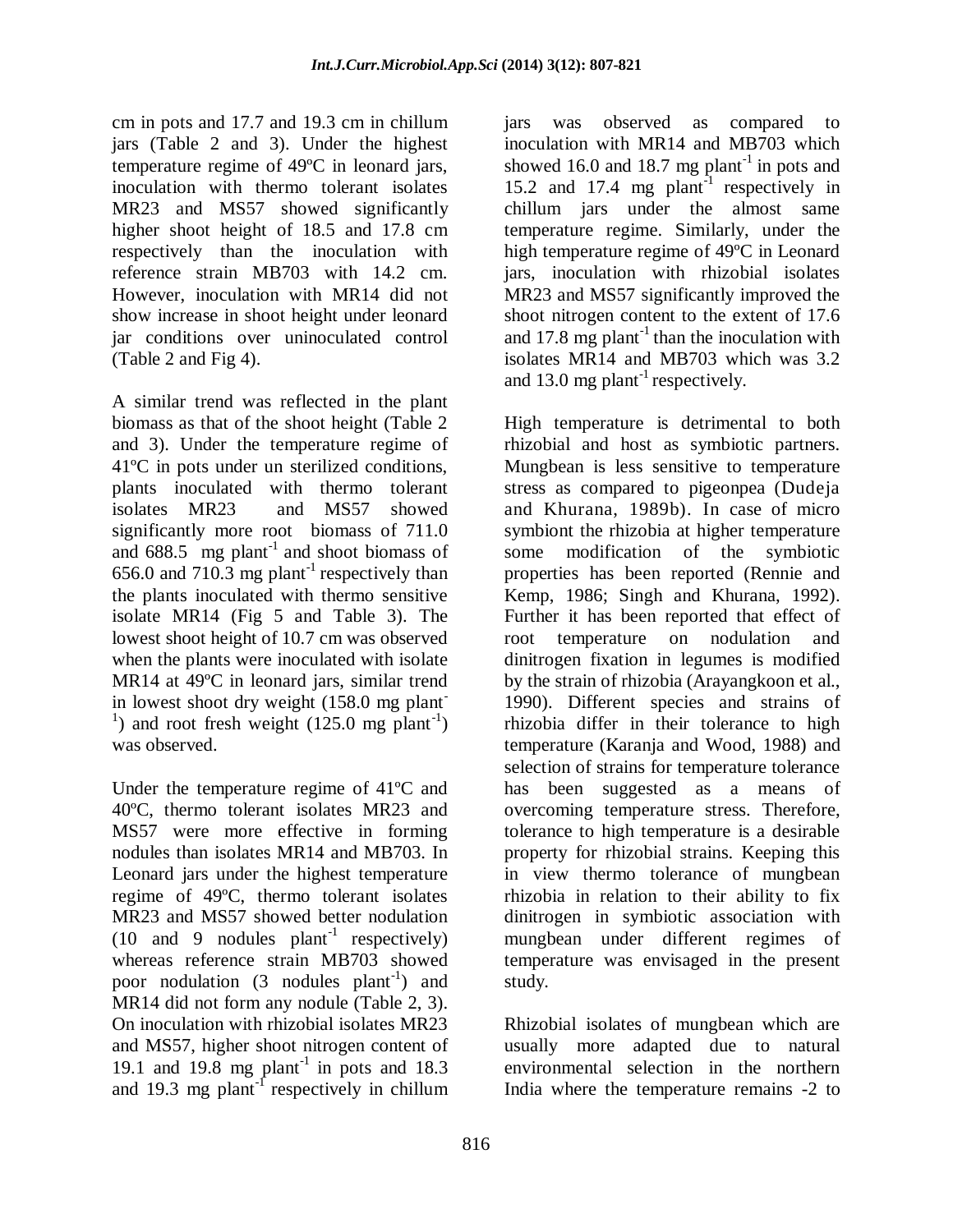cm in pots and 17.7 and 19.3 cm in chillum jars (Table 2 and 3). Under the highest temperature regime of 49ºC in leonard jars, inoculation with thermo tolerant isolates MR23 and MS57 showed significantly higher shoot height of 18.5 and 17.8 cm respectively than the inoculation with reference strain MB703 with 14.2 cm. However, inoculation with MR14 did not show increase in shoot height under leonard jar conditions over uninoculated control (Table 2 and Fig 4).

A similar trend was reflected in the plant biomass as that of the shoot height (Table 2 and 3). Under the temperature regime of 41ºC in pots under un sterilized conditions, plants inoculated with thermo tolerant isolates MR23 and MS57 showed significantly more root biomass of 711.0 and  $688.5$  mg plant<sup>-1</sup> and shoot biomass of 656.0 and 710.3 mg plant<sup>-1</sup> respectively than the plants inoculated with thermo sensitive isolate MR14 (Fig 5 and Table 3). The lowest shoot height of 10.7 cm was observed when the plants were inoculated with isolate MR14 at 49ºC in leonard jars, similar trend in lowest shoot dry weight (158.0 mg plant-<sup>1</sup>) and root fresh weight  $(125.0 \text{ mg plant}^{-1})$ was observed.

Under the temperature regime of 41ºC and 40ºC, thermo tolerant isolates MR23 and MS57 were more effective in forming nodules than isolates MR14 and MB703. In Leonard jars under the highest temperature regime of 49ºC, thermo tolerant isolates MR23 and MS57 showed better nodulation  $(10 \text{ and } 9 \text{ nodules plant}^{-1}$  respectively) whereas reference strain MB703 showed poor nodulation  $(3 \text{ nodules plant}^{-1})$  and MR14 did not form any nodule (Table 2, 3). On inoculation with rhizobial isolates MR23 and MS57, higher shoot nitrogen content of 19.1 and 19.8 mg plant<sup>-1</sup> in pots and 18.3 and 19.3 mg plant<sup>-1</sup> respectively in chillum

India where the temperature remains -2 to

jars was observed as compared to inoculation with MR14 and MB703 which showed 16.0 and 18.7 mg plant<sup>-1</sup> in pots and 15.2 and 17.4 mg plant<sup>-1</sup> respectively in chillum jars under the almost same temperature regime. Similarly, under the high temperature regime of 49ºC in Leonard jars, inoculation with rhizobial isolates MR23 and MS57 significantly improved the shoot nitrogen content to the extent of 17.6 and 17.8 mg plant<sup>-1</sup> than the inoculation with isolates MR14 and MB703 which was 3.2 and 13.0 mg plant<sup>-1</sup> respectively.

High temperature is detrimental to both rhizobial and host as symbiotic partners. Mungbean is less sensitive to temperature stress as compared to pigeonpea (Dudeja and Khurana, 1989b). In case of micro symbiont the rhizobia at higher temperature some modification of the symbiotic properties has been reported (Rennie and Kemp, 1986; Singh and Khurana, 1992). Further it has been reported that effect of root temperature on nodulation and dinitrogen fixation in legumes is modified by the strain of rhizobia (Arayangkoon et al., 1990). Different species and strains of rhizobia differ in their tolerance to high temperature (Karanja and Wood, 1988) and selection of strains for temperature tolerance has been suggested as a means of overcoming temperature stress. Therefore, tolerance to high temperature is a desirable property for rhizobial strains. Keeping this in view thermo tolerance of mungbean rhizobia in relation to their ability to fix dinitrogen in symbiotic association with mungbean under different regimes of temperature was envisaged in the present study.

Rhizobial isolates of mungbean which are usually more adapted due to natural environmental selection in the northern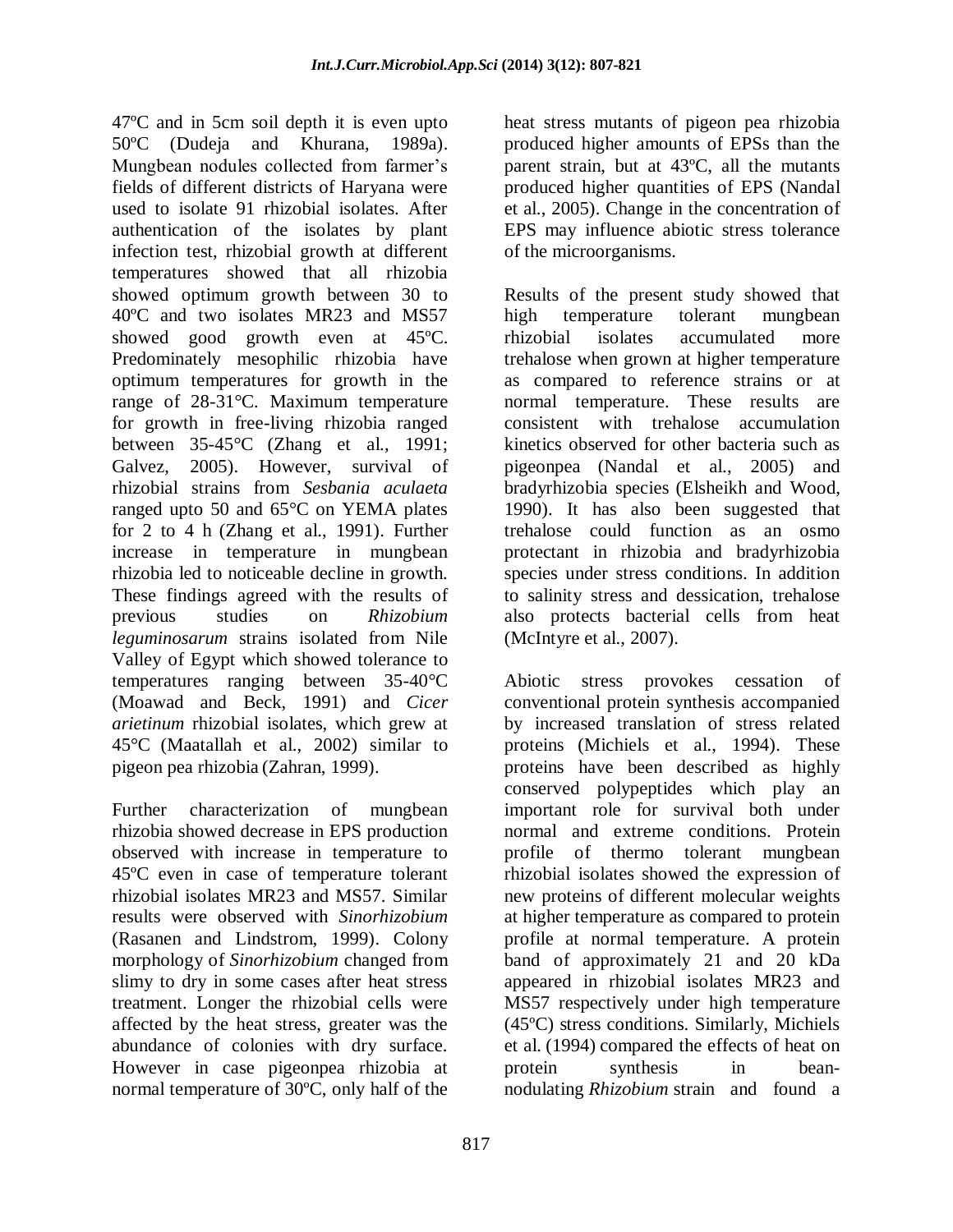47ºC and in 5cm soil depth it is even upto 50ºC (Dudeja and Khurana, 1989a). Mungbean nodules collected from farmer's fields of different districts of Haryana were used to isolate 91 rhizobial isolates. After authentication of the isolates by plant infection test, rhizobial growth at different temperatures showed that all rhizobia showed optimum growth between 30 to 40ºC and two isolates MR23 and MS57 showed good growth even at 45ºC. Predominately mesophilic rhizobia have optimum temperatures for growth in the range of 28-31°C. Maximum temperature for growth in free-living rhizobia ranged between 35-45°C (Zhang et al., 1991; Galvez, 2005). However, survival of rhizobial strains from *Sesbania aculaeta* ranged upto 50 and 65°C on YEMA plates for 2 to 4 h (Zhang et al., 1991). Further increase in temperature in mungbean rhizobia led to noticeable decline in growth. These findings agreed with the results of previous studies on *Rhizobium leguminosarum* strains isolated from Nile Valley of Egypt which showed tolerance to temperatures ranging between 35-40°C (Moawad and Beck, 1991) and *Cicer arietinum* rhizobial isolates, which grew at 45°C (Maatallah et al., 2002) similar to pigeon pea rhizobia (Zahran, 1999).

Further characterization of mungbean rhizobia showed decrease in EPS production observed with increase in temperature to 45ºC even in case of temperature tolerant rhizobial isolates MR23 and MS57. Similar results were observed with *Sinorhizobium* (Rasanen and Lindstrom, 1999). Colony morphology of *Sinorhizobium* changed from slimy to dry in some cases after heat stress treatment. Longer the rhizobial cells were affected by the heat stress, greater was the abundance of colonies with dry surface. However in case pigeonpea rhizobia at normal temperature of 30ºC, only half of the

heat stress mutants of pigeon pea rhizobia produced higher amounts of EPSs than the parent strain, but at 43ºC, all the mutants produced higher quantities of EPS (Nandal et al., 2005). Change in the concentration of EPS may influence abiotic stress tolerance of the microorganisms.

Results of the present study showed that high temperature tolerant mungbean rhizobial isolates accumulated more trehalose when grown at higher temperature as compared to reference strains or at normal temperature. These results are consistent with trehalose accumulation kinetics observed for other bacteria such as pigeonpea (Nandal et al., 2005) and bradyrhizobia species (Elsheikh and Wood, 1990). It has also been suggested that trehalose could function as an osmo protectant in rhizobia and bradyrhizobia species under stress conditions. In addition to salinity stress and dessication, trehalose also protects bacterial cells from heat (McIntyre et al., 2007).

Abiotic stress provokes cessation of conventional protein synthesis accompanied by increased translation of stress related proteins (Michiels et al., 1994). These proteins have been described as highly conserved polypeptides which play an important role for survival both under normal and extreme conditions. Protein profile of thermo tolerant mungbean rhizobial isolates showed the expression of new proteins of different molecular weights at higher temperature as compared to protein profile at normal temperature. A protein band of approximately 21 and 20 kDa appeared in rhizobial isolates MR23 and MS57 respectively under high temperature (45ºC) stress conditions. Similarly, Michiels et al. (1994) compared the effects of heat on protein synthesis in beannodulating *Rhizobium* strain and found a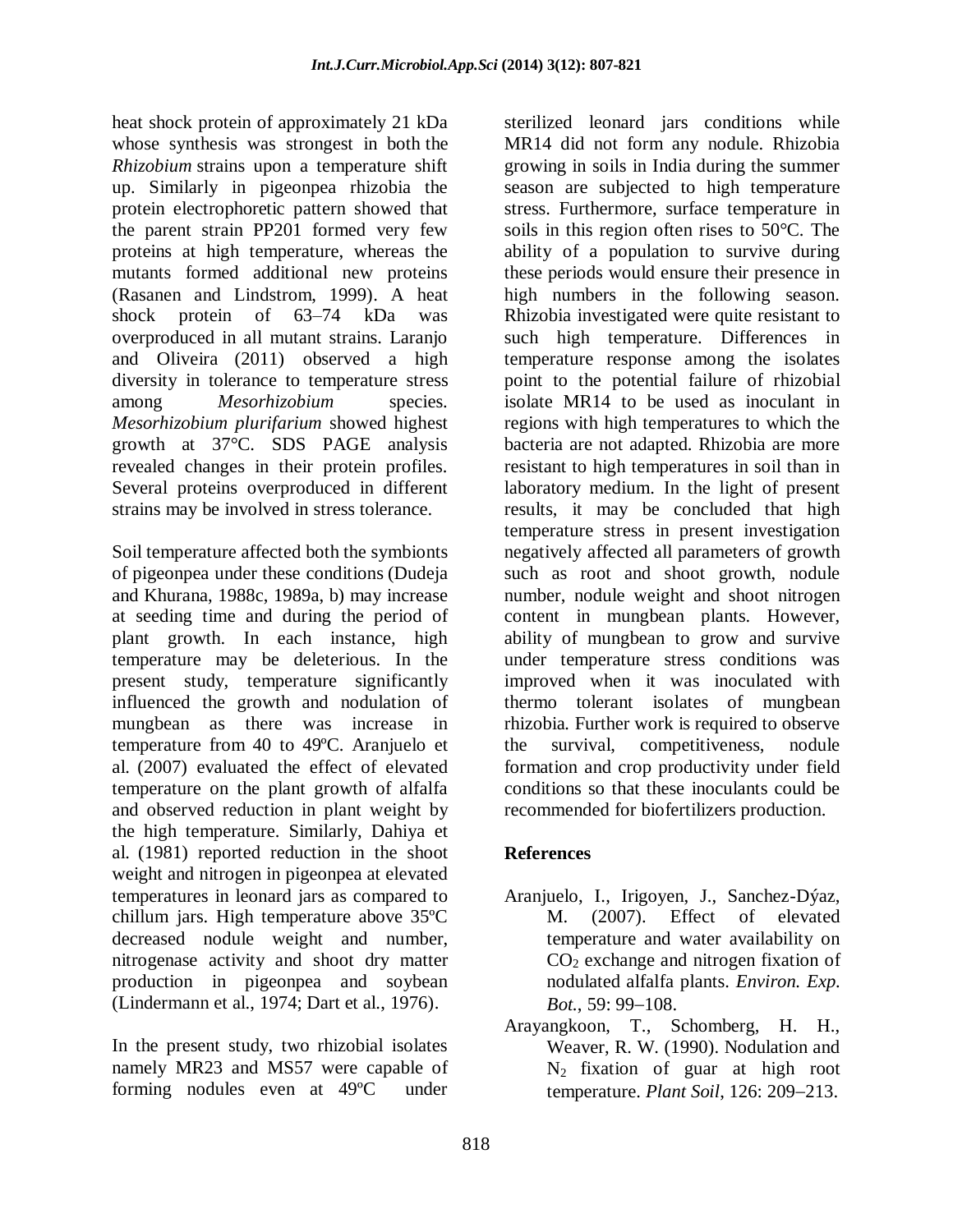heat shock protein of approximately 21 kDa whose synthesis was strongest in both the *Rhizobium* strains upon a temperature shift up. Similarly in pigeonpea rhizobia the protein electrophoretic pattern showed that the parent strain PP201 formed very few proteins at high temperature, whereas the mutants formed additional new proteins (Rasanen and Lindstrom, 1999). A heat shock protein of 63–74 kDa was overproduced in all mutant strains. Laranjo and Oliveira (2011) observed a high diversity in tolerance to temperature stress among *Mesorhizobium* species. *Mesorhizobium plurifarium* showed highest growth at 37°C. SDS PAGE analysis revealed changes in their protein profiles*.* Several proteins overproduced in different strains may be involved in stress tolerance.

Soil temperature affected both the symbionts of pigeonpea under these conditions (Dudeja and Khurana, 1988c, 1989a, b) may increase at seeding time and during the period of plant growth. In each instance, high temperature may be deleterious. In the present study, temperature significantly influenced the growth and nodulation of mungbean as there was increase in temperature from 40 to 49ºC. Aranjuelo et al. (2007) evaluated the effect of elevated temperature on the plant growth of alfalfa and observed reduction in plant weight by the high temperature. Similarly, Dahiya et al. (1981) reported reduction in the shoot weight and nitrogen in pigeonpea at elevated temperatures in leonard jars as compared to chillum jars. High temperature above 35ºC decreased nodule weight and number, nitrogenase activity and shoot dry matter production in pigeonpea and soybean (Lindermann et al., 1974; Dart et al., 1976).

In the present study, two rhizobial isolates namely MR23 and MS57 were capable of forming nodules even at 49ºC under

sterilized leonard jars conditions while MR14 did not form any nodule. Rhizobia growing in soils in India during the summer season are subjected to high temperature stress. Furthermore, surface temperature in soils in this region often rises to 50°C. The ability of a population to survive during these periods would ensure their presence in high numbers in the following season. Rhizobia investigated were quite resistant to such high temperature. Differences in temperature response among the isolates point to the potential failure of rhizobial isolate MR14 to be used as inoculant in regions with high temperatures to which the bacteria are not adapted. Rhizobia are more resistant to high temperatures in soil than in laboratory medium. In the light of present results, it may be concluded that high temperature stress in present investigation negatively affected all parameters of growth such as root and shoot growth, nodule number, nodule weight and shoot nitrogen content in mungbean plants. However, ability of mungbean to grow and survive under temperature stress conditions was improved when it was inoculated with thermo tolerant isolates of mungbean rhizobia*.* Further work is required to observe the survival, competitiveness, nodule formation and crop productivity under field conditions so that these inoculants could be recommended for biofertilizers production.

# **References**

- Aranjuelo, I., Irigoyen, J., Sanchez-Dýaz, M. (2007). Effect of elevated temperature and water availability on  $CO<sub>2</sub>$  exchange and nitrogen fixation of nodulated alfalfa plants. *Environ. Exp. Bot.*, 59: 99–108.
- Arayangkoon, T., Schomberg, H. H., Weaver, R. W. (1990). Nodulation and N2 fixation of guar at high root temperature. *Plant Soil*, 126: 209-213.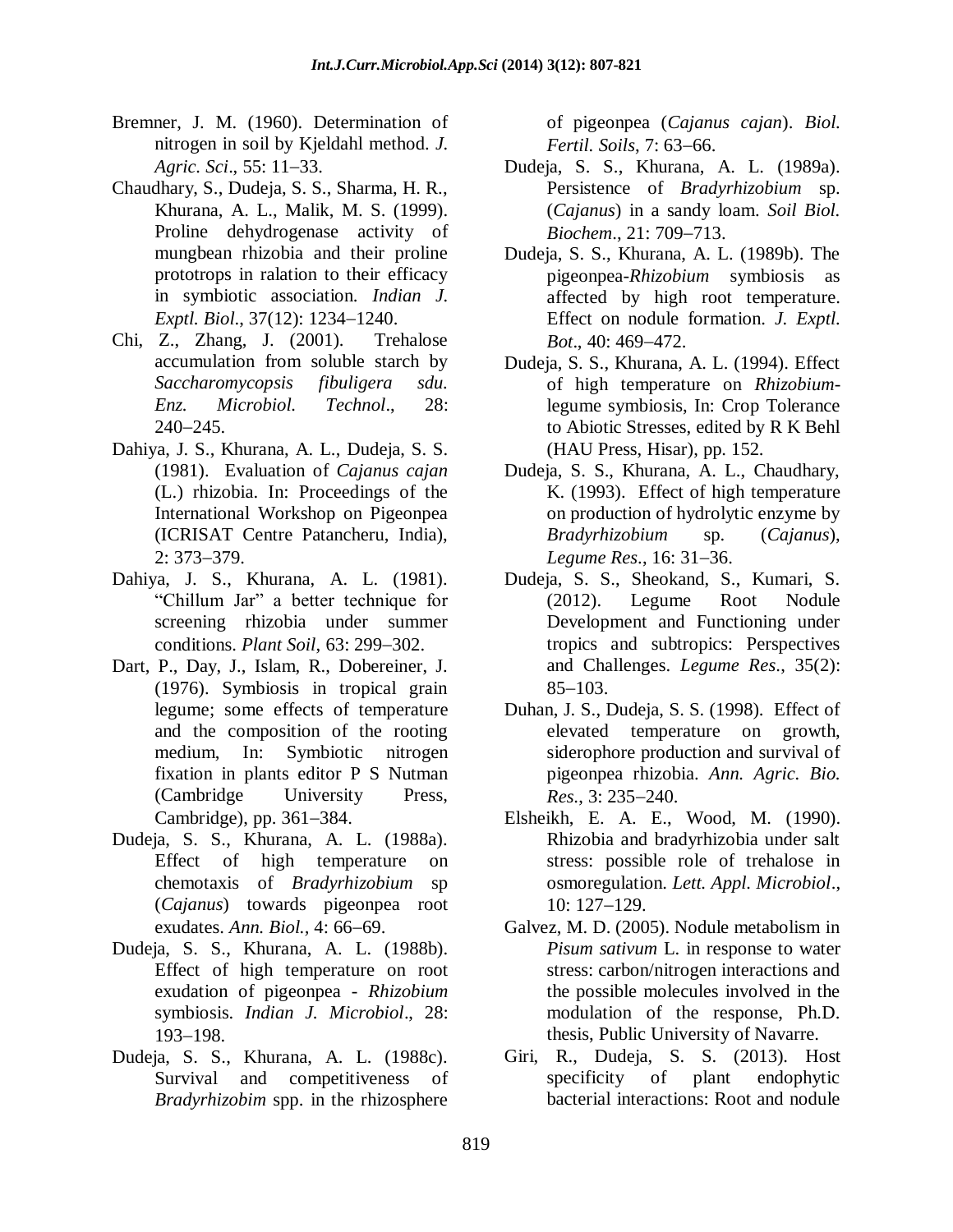- Bremner, J. M. (1960). Determination of nitrogen in soil by Kjeldahl method. *J. Agric. Sci.*, 55: 11–33.
- Chaudhary, S., Dudeja, S. S., Sharma, H. R., Khurana, A. L., Malik, M. S. (1999). Proline dehydrogenase activity of mungbean rhizobia and their proline prototrops in ralation to their efficacy in symbiotic association. *Indian J. Exptl. Biol., 37(12): 1234-1240.*
- Chi, Z., Zhang, J. (2001). Trehalose accumulation from soluble starch by *Saccharomycopsis fibuligera sdu. Enz. Microbiol. Technol*., 28:  $240 - 245.$
- Dahiya, J. S., Khurana, A. L., Dudeja, S. S. (1981). Evaluation of *Cajanus cajan*  (L.) rhizobia. In: Proceedings of the International Workshop on Pigeonpea (ICRISAT Centre Patancheru, India),  $2: 373 - 379.$
- Dahiya, J. S., Khurana, A. L. (1981). "Chillum Jar" a better technique for screening rhizobia under summer conditions. *Plant Soil*, 63: 299–302.
- Dart, P., Day, J., Islam, R., Dobereiner, J. (1976). Symbiosis in tropical grain legume; some effects of temperature and the composition of the rooting medium, In: Symbiotic nitrogen fixation in plants editor P S Nutman (Cambridge University Press, Cambridge), pp. 361–384.
- Dudeja, S. S., Khurana, A. L. (1988a). Effect of high temperature on chemotaxis of *Bradyrhizobium* sp (*Cajanus*) towards pigeonpea root exudates. *Ann. Biol.*, 4: 66-69.
- Dudeja, S. S., Khurana, A. L. (1988b). Effect of high temperature on root exudation of pigeonpea - *Rhizobium* symbiosis. *Indian J. Microbiol*., 28: 193-198.
- Dudeja, S. S., Khurana, A. L. (1988c). Survival and competitiveness of *Bradyrhizobim* spp. in the rhizosphere

of pigeonpea (*Cajanus cajan*). *Biol. Fertil. Soils, 7:63-66.* 

- Dudeja, S. S., Khurana, A. L. (1989a). Persistence of *Bradyrhizobium* sp. (*Cajanus*) in a sandy loam. *Soil Biol. Biochem.*, 21: 709–713.
- Dudeja, S. S., Khurana, A. L. (1989b). The pigeonpea-*Rhizobium* symbiosis as affected by high root temperature. Effect on nodule formation. *J. Exptl. Bot.*, 40: 469-472.
- Dudeja, S. S., Khurana, A. L. (1994). Effect of high temperature on *Rhizobium*legume symbiosis, In: Crop Tolerance to Abiotic Stresses, edited by R K Behl (HAU Press, Hisar), pp. 152.
- Dudeja, S. S., Khurana, A. L., Chaudhary, K. (1993). Effect of high temperature on production of hydrolytic enzyme by *Bradyrhizobium* sp. (*Cajanus*), *Legume Res.*, 16: 31–36.
- Dudeja, S. S., Sheokand, S., Kumari, S. (2012). Legume Root Nodule Development and Functioning under tropics and subtropics: Perspectives and Challenges. *Legume Res*., 35(2):  $85 - 103$ .
- Duhan, J. S., Dudeja, S. S. (1998). Effect of elevated temperature on growth, siderophore production and survival of pigeonpea rhizobia. *Ann. Agric. Bio. Res.*, 3: 235–240.
- Elsheikh, E. A. E., Wood, M. (1990). Rhizobia and bradyrhizobia under salt stress: possible role of trehalose in osmoregulation. *Lett. Appl. Microbiol*.,  $10: 127 - 129.$
- Galvez, M. D. (2005). Nodule metabolism in *Pisum sativum* L. in response to water stress: carbon/nitrogen interactions and the possible molecules involved in the modulation of the response, Ph.D. thesis, Public University of Navarre.
- Giri, R., Dudeja, S. S. (2013). Host specificity of plant endophytic bacterial interactions: Root and nodule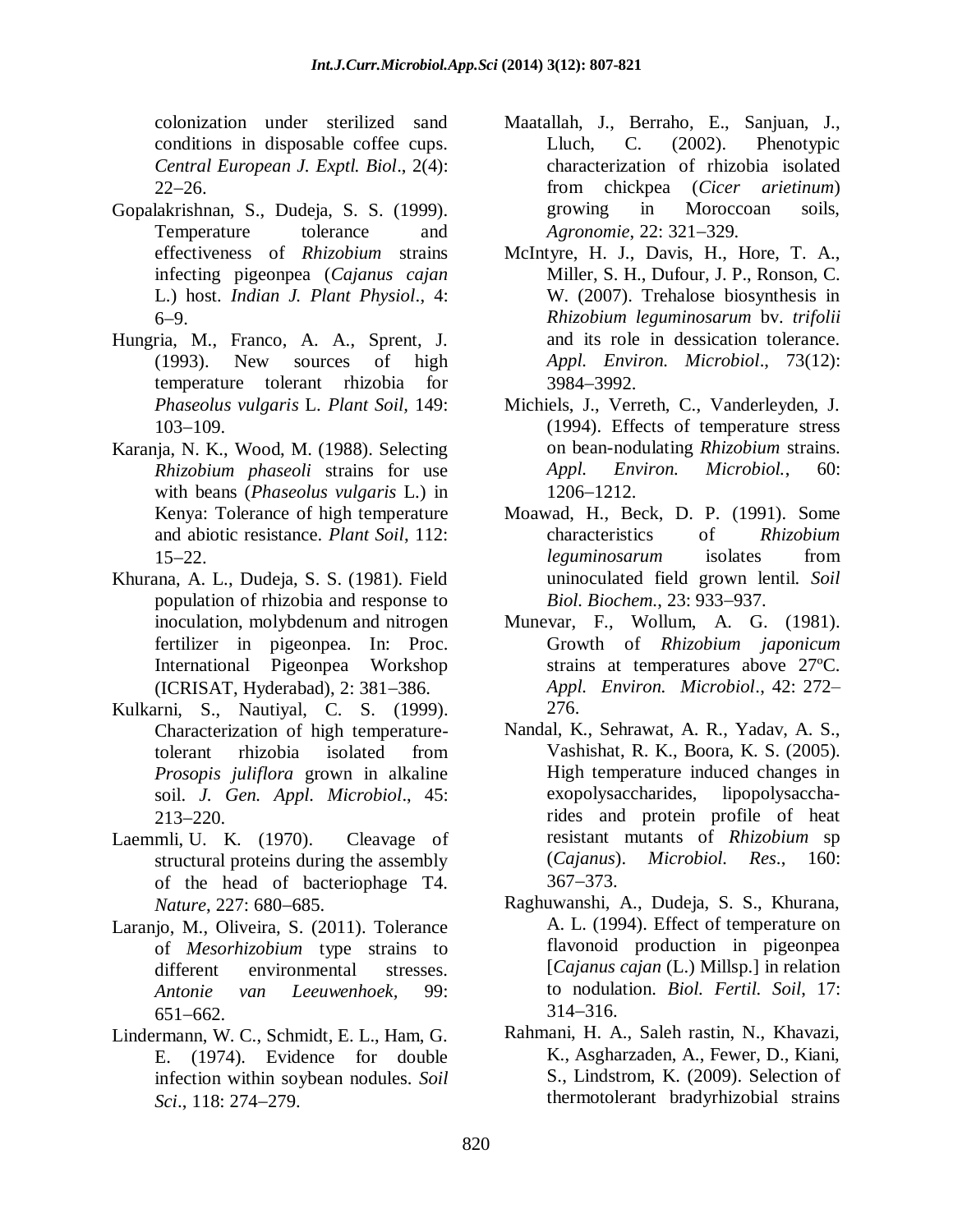colonization under sterilized sand conditions in disposable coffee cups. *Central European J. Exptl. Biol*., 2(4):  $22 - 26.$ 

- Gopalakrishnan, S., Dudeja, S. S. (1999). Temperature tolerance and effectiveness of *Rhizobium* strains infecting pigeonpea (*Cajanus cajan*  L.) host. *Indian J. Plant Physiol*., 4:  $6-9.$
- Hungria, M., Franco, A. A., Sprent, J. (1993). New sources of high temperature tolerant rhizobia for *Phaseolus vulgaris* L. *Plant Soil,* 149:  $103 - 109$ .
- Karanja, N. K., Wood, M. (1988). Selecting *Rhizobium phaseoli* strains for use with beans (*Phaseolus vulgaris* L.) in Kenya: Tolerance of high temperature and abiotic resistance. *Plant Soil*, 112:  $15 - 22$ .
- Khurana, A. L., Dudeja, S. S. (1981). Field population of rhizobia and response to inoculation, molybdenum and nitrogen fertilizer in pigeonpea. In: Proc. International Pigeonpea Workshop  $(ICRISAT, Hydroth)$ , 2: 381-386.
- Kulkarni, S., Nautiyal, C. S. (1999). Characterization of high temperaturetolerant rhizobia isolated from *Prosopis juliflora* grown in alkaline soil. *J. Gen. Appl. Microbiol*., 45:  $213 - 220$ .
- Laemmli, U. K. (1970). Cleavage of structural proteins during the assembly of the head of bacteriophage T4. *Nature*, 227: 680-685.
- Laranjo, M., Oliveira, S. (2011). Tolerance of *Mesorhizobium* type strains to different environmental stresses. *Antonie van Leeuwenhoek,* 99:  $651 - 662$ .
- Lindermann, W. C., Schmidt, E. L., Ham, G. E. (1974). Evidence for double infection within soybean nodules. *Soil Sci.*, 118: 274–279.
- Maatallah, J., Berraho, E., Sanjuan, J., Lluch, C. (2002). Phenotypic characterization of rhizobia isolated from chickpea (*Cicer arietinum*) growing in Moroccoan soils, *Agronomie*, 22: 321-329.
- McIntyre, H. J., Davis, H., Hore, T. A., Miller, S. H., Dufour, J. P., Ronson, C. W. (2007). Trehalose biosynthesis in *Rhizobium leguminosarum* bv. *trifolii* and its role in dessication tolerance. *Appl. Environ. Microbiol*., 73(12): 39843992.
- Michiels, J., Verreth, C., Vanderleyden, J. (1994). Effects of temperature stress on bean-nodulating *Rhizobium* strains. *Appl. Environ. Microbiol.*, 60: 1206-1212.
- Moawad, H., Beck, D. P. (1991). Some characteristics of *Rhizobium leguminosarum* isolates from uninoculated field grown lentil. *Soil Biol. Biochem., 23: 933-937.*
- Munevar, F., Wollum, A. G. (1981). Growth of *Rhizobium japonicum* strains at temperatures above 27ºC. *Appl. Environ. Microbiol*., 42: 272– 276.
- Nandal, K., Sehrawat, A. R., Yadav, A. S., Vashishat, R. K., Boora, K. S. (2005). High temperature induced changes in exopolysaccharides, lipopolysaccharides and protein profile of heat resistant mutants of *Rhizobium* sp (*Cajanus*). *Microbiol. Res*., 160: 367-373.
- Raghuwanshi, A., Dudeja, S. S., Khurana, A. L. (1994). Effect of temperature on flavonoid production in pigeonpea [*Cajanus cajan* (L.) Millsp.] in relation to nodulation. *Biol. Fertil. Soil*, 17:  $314 - 316$ .
- Rahmani, H. A., Saleh rastin, N., Khavazi, K., Asgharzaden, A., Fewer, D., Kiani, S., Lindstrom, K. (2009). Selection of thermotolerant bradyrhizobial strains